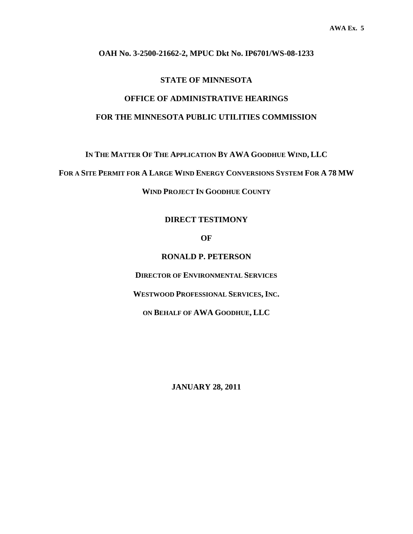#### **OAH No. 3-2500-21662-2, MPUC Dkt No. IP6701/WS-08-1233**

#### **STATE OF MINNESOTA**

## **OFFICE OF ADMINISTRATIVE HEARINGS FOR THE MINNESOTA PUBLIC UTILITIES COMMISSION**

**IN THE MATTER OF THE APPLICATION BY AWA GOODHUE WIND, LLC** 

**FOR A SITE PERMIT FOR A LARGE WIND ENERGY CONVERSIONS SYSTEM FOR A 78 MW**

**WIND PROJECT IN GOODHUE COUNTY** 

#### **DIRECT TESTIMONY**

**OF** 

**RONALD P. PETERSON** 

**DIRECTOR OF ENVIRONMENTAL SERVICES**

**WESTWOOD PROFESSIONAL SERVICES, INC.** 

**ON BEHALF OF AWA GOODHUE, LLC** 

**JANUARY 28, 2011**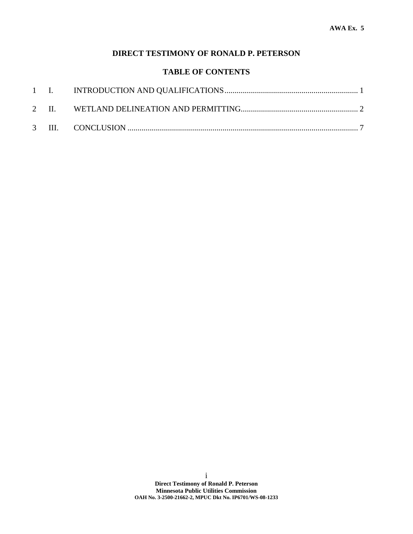### **DIRECT TESTIMONY OF RONALD P. PETERSON**

### **TABLE OF CONTENTS**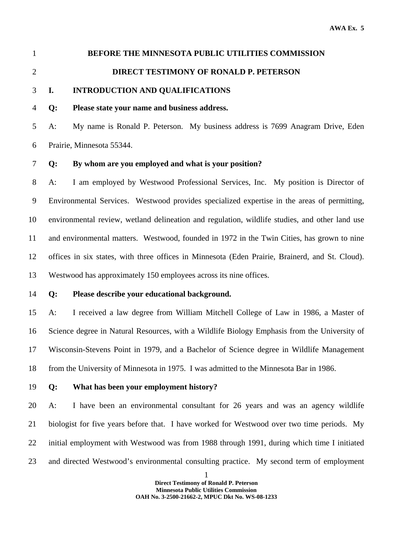# 1 **BEFORE THE MINNESOTA PUBLIC UTILITIES COMMISSION**  2 **DIRECT TESTIMONY OF RONALD P. PETERSON**

### 3 **I. INTRODUCTION AND QUALIFICATIONS**

#### 4 **Q: Please state your name and business address.**

5 A: My name is Ronald P. Peterson. My business address is 7699 Anagram Drive, Eden 6 Prairie, Minnesota 55344.

#### 7 **Q: By whom are you employed and what is your position?**

8 A: I am employed by Westwood Professional Services, Inc. My position is Director of 9 Environmental Services. Westwood provides specialized expertise in the areas of permitting, 10 environmental review, wetland delineation and regulation, wildlife studies, and other land use 11 and environmental matters. Westwood, founded in 1972 in the Twin Cities, has grown to nine 12 offices in six states, with three offices in Minnesota (Eden Prairie, Brainerd, and St. Cloud). 13 Westwood has approximately 150 employees across its nine offices.

14 **Q: Please describe your educational background.** 

15 A: I received a law degree from William Mitchell College of Law in 1986, a Master of 16 Science degree in Natural Resources, with a Wildlife Biology Emphasis from the University of 17 Wisconsin-Stevens Point in 1979, and a Bachelor of Science degree in Wildlife Management 18 from the University of Minnesota in 1975. I was admitted to the Minnesota Bar in 1986.

19 **Q: What has been your employment history?** 

20 A: I have been an environmental consultant for 26 years and was an agency wildlife 21 biologist for five years before that. I have worked for Westwood over two time periods. My 22 initial employment with Westwood was from 1988 through 1991, during which time I initiated 23 and directed Westwood's environmental consulting practice. My second term of employment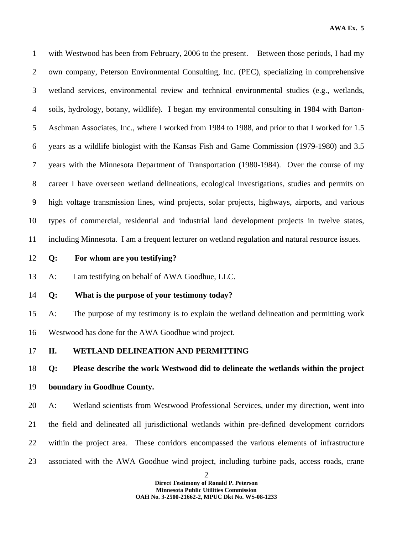1 with Westwood has been from February, 2006 to the present. Between those periods, I had my 2 own company, Peterson Environmental Consulting, Inc. (PEC), specializing in comprehensive 3 wetland services, environmental review and technical environmental studies (e.g., wetlands, 4 soils, hydrology, botany, wildlife). I began my environmental consulting in 1984 with Barton-5 Aschman Associates, Inc., where I worked from 1984 to 1988, and prior to that I worked for 1.5 6 years as a wildlife biologist with the Kansas Fish and Game Commission (1979-1980) and 3.5 7 years with the Minnesota Department of Transportation (1980-1984). Over the course of my 8 career I have overseen wetland delineations, ecological investigations, studies and permits on 9 high voltage transmission lines, wind projects, solar projects, highways, airports, and various 10 types of commercial, residential and industrial land development projects in twelve states, 11 including Minnesota. I am a frequent lecturer on wetland regulation and natural resource issues.

12 **Q: For whom are you testifying?** 

13 A: I am testifying on behalf of AWA Goodhue, LLC.

#### 14 **Q: What is the purpose of your testimony today?**

15 A: The purpose of my testimony is to explain the wetland delineation and permitting work 16 Westwood has done for the AWA Goodhue wind project.

17 **II. WETLAND DELINEATION AND PERMITTING** 

18 **Q: Please describe the work Westwood did to delineate the wetlands within the project** 

### 19 **boundary in Goodhue County.**

20 A: Wetland scientists from Westwood Professional Services, under my direction, went into 21 the field and delineated all jurisdictional wetlands within pre-defined development corridors 22 within the project area. These corridors encompassed the various elements of infrastructure 23 associated with the AWA Goodhue wind project, including turbine pads, access roads, crane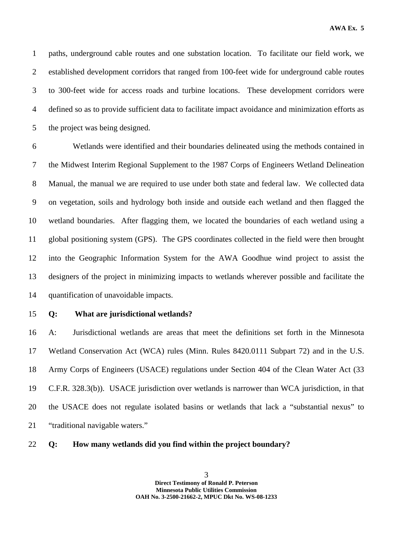1 paths, underground cable routes and one substation location. To facilitate our field work, we 2 established development corridors that ranged from 100-feet wide for underground cable routes 3 to 300-feet wide for access roads and turbine locations. These development corridors were 4 defined so as to provide sufficient data to facilitate impact avoidance and minimization efforts as 5 the project was being designed.

6 Wetlands were identified and their boundaries delineated using the methods contained in 7 the Midwest Interim Regional Supplement to the 1987 Corps of Engineers Wetland Delineation 8 Manual, the manual we are required to use under both state and federal law. We collected data 9 on vegetation, soils and hydrology both inside and outside each wetland and then flagged the 10 wetland boundaries. After flagging them, we located the boundaries of each wetland using a 11 global positioning system (GPS). The GPS coordinates collected in the field were then brought 12 into the Geographic Information System for the AWA Goodhue wind project to assist the 13 designers of the project in minimizing impacts to wetlands wherever possible and facilitate the 14 quantification of unavoidable impacts.

#### 15 **Q: What are jurisdictional wetlands?**

16 A: Jurisdictional wetlands are areas that meet the definitions set forth in the Minnesota 17 Wetland Conservation Act (WCA) rules (Minn. Rules 8420.0111 Subpart 72) and in the U.S. 18 Army Corps of Engineers (USACE) regulations under Section 404 of the Clean Water Act (33 19 C.F.R. 328.3(b)). USACE jurisdiction over wetlands is narrower than WCA jurisdiction, in that 20 the USACE does not regulate isolated basins or wetlands that lack a "substantial nexus" to 21 "traditional navigable waters."

22 **Q: How many wetlands did you find within the project boundary?**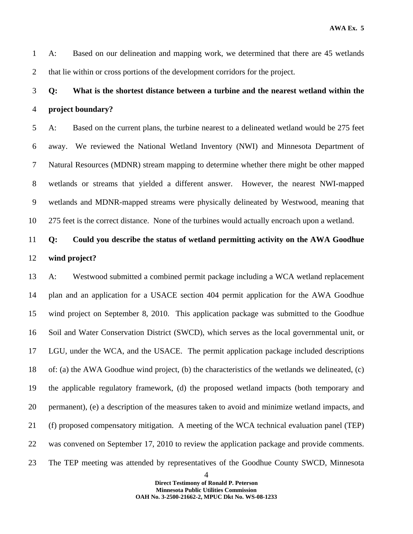1 A: Based on our delineation and mapping work, we determined that there are 45 wetlands 2 that lie within or cross portions of the development corridors for the project.

# 3 **Q: What is the shortest distance between a turbine and the nearest wetland within the**  4 **project boundary?**

5 A: Based on the current plans, the turbine nearest to a delineated wetland would be 275 feet 6 away. We reviewed the National Wetland Inventory (NWI) and Minnesota Department of 7 Natural Resources (MDNR) stream mapping to determine whether there might be other mapped 8 wetlands or streams that yielded a different answer. However, the nearest NWI-mapped 9 wetlands and MDNR-mapped streams were physically delineated by Westwood, meaning that 10 275 feet is the correct distance. None of the turbines would actually encroach upon a wetland.

# 11 **Q: Could you describe the status of wetland permitting activity on the AWA Goodhue**  12 **wind project?**

13 A: Westwood submitted a combined permit package including a WCA wetland replacement 14 plan and an application for a USACE section 404 permit application for the AWA Goodhue 15 wind project on September 8, 2010. This application package was submitted to the Goodhue 16 Soil and Water Conservation District (SWCD), which serves as the local governmental unit, or 17 LGU, under the WCA, and the USACE. The permit application package included descriptions 18 of: (a) the AWA Goodhue wind project, (b) the characteristics of the wetlands we delineated, (c) 19 the applicable regulatory framework, (d) the proposed wetland impacts (both temporary and 20 permanent), (e) a description of the measures taken to avoid and minimize wetland impacts, and 21 (f) proposed compensatory mitigation. A meeting of the WCA technical evaluation panel (TEP) 22 was convened on September 17, 2010 to review the application package and provide comments. 23 The TEP meeting was attended by representatives of the Goodhue County SWCD, Minnesota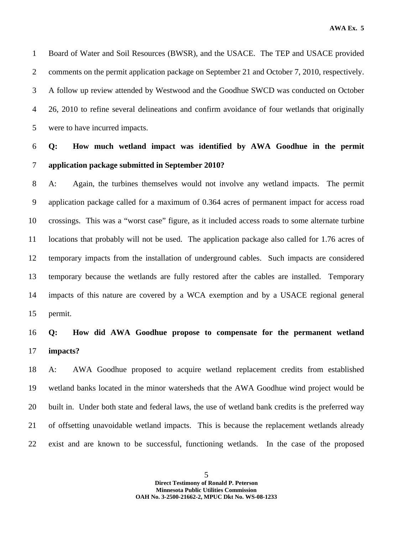1 Board of Water and Soil Resources (BWSR), and the USACE. The TEP and USACE provided 2 comments on the permit application package on September 21 and October 7, 2010, respectively. 3 A follow up review attended by Westwood and the Goodhue SWCD was conducted on October 4 26, 2010 to refine several delineations and confirm avoidance of four wetlands that originally 5 were to have incurred impacts.

## 6 **Q: How much wetland impact was identified by AWA Goodhue in the permit**  7 **application package submitted in September 2010?**

8 A: Again, the turbines themselves would not involve any wetland impacts. The permit 9 application package called for a maximum of 0.364 acres of permanent impact for access road 10 crossings. This was a "worst case" figure, as it included access roads to some alternate turbine 11 locations that probably will not be used. The application package also called for 1.76 acres of 12 temporary impacts from the installation of underground cables. Such impacts are considered 13 temporary because the wetlands are fully restored after the cables are installed. Temporary 14 impacts of this nature are covered by a WCA exemption and by a USACE regional general 15 permit.

### 16 **Q: How did AWA Goodhue propose to compensate for the permanent wetland**  17 **impacts?**

18 A: AWA Goodhue proposed to acquire wetland replacement credits from established 19 wetland banks located in the minor watersheds that the AWA Goodhue wind project would be 20 built in. Under both state and federal laws, the use of wetland bank credits is the preferred way 21 of offsetting unavoidable wetland impacts. This is because the replacement wetlands already 22 exist and are known to be successful, functioning wetlands. In the case of the proposed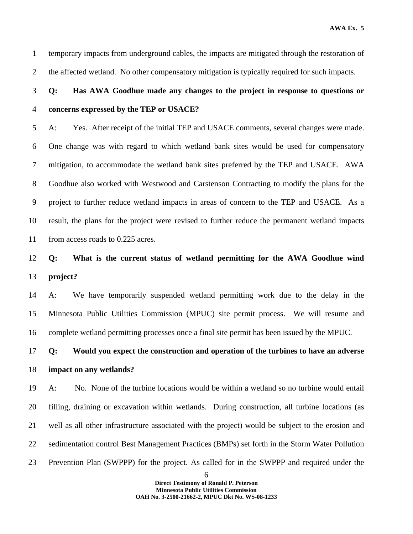1 temporary impacts from underground cables, the impacts are mitigated through the restoration of 2 the affected wetland. No other compensatory mitigation is typically required for such impacts.

# 3 **Q: Has AWA Goodhue made any changes to the project in response to questions or**  4 **concerns expressed by the TEP or USACE?**

5 A: Yes. After receipt of the initial TEP and USACE comments, several changes were made. 6 One change was with regard to which wetland bank sites would be used for compensatory 7 mitigation, to accommodate the wetland bank sites preferred by the TEP and USACE. AWA 8 Goodhue also worked with Westwood and Carstenson Contracting to modify the plans for the 9 project to further reduce wetland impacts in areas of concern to the TEP and USACE. As a 10 result, the plans for the project were revised to further reduce the permanent wetland impacts 11 from access roads to 0.225 acres.

12 **Q: What is the current status of wetland permitting for the AWA Goodhue wind**  13 **project?** 

14 A: We have temporarily suspended wetland permitting work due to the delay in the 15 Minnesota Public Utilities Commission (MPUC) site permit process. We will resume and 16 complete wetland permitting processes once a final site permit has been issued by the MPUC.

17 **Q: Would you expect the construction and operation of the turbines to have an adverse**  18 **impact on any wetlands?** 

19 A: No. None of the turbine locations would be within a wetland so no turbine would entail 20 filling, draining or excavation within wetlands. During construction, all turbine locations (as 21 well as all other infrastructure associated with the project) would be subject to the erosion and 22 sedimentation control Best Management Practices (BMPs) set forth in the Storm Water Pollution 23 Prevention Plan (SWPPP) for the project. As called for in the SWPPP and required under the